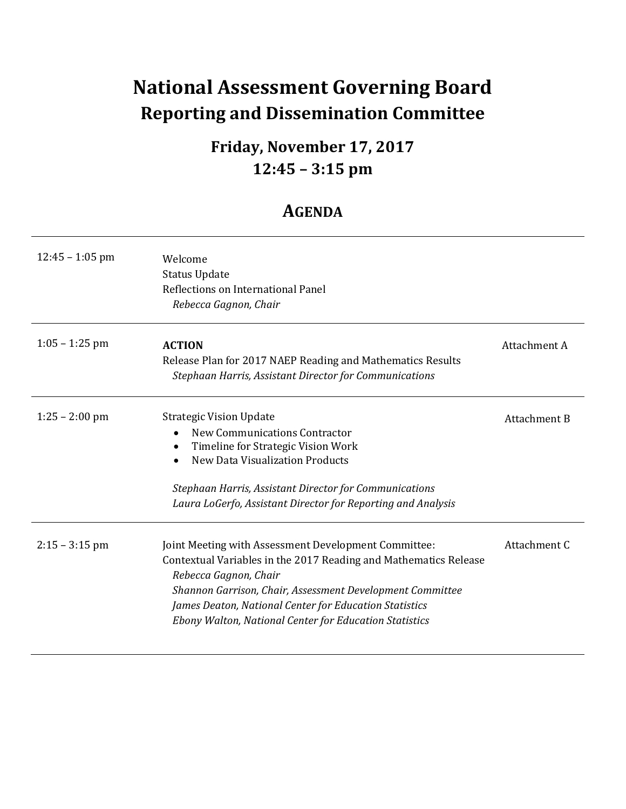## **National Assessment Governing Board Reporting and Dissemination Committee**

## **12:45 – 3:15 pm Friday, November 17, 2017**

### **AGENDA**

| $12:45 - 1:05$ pm | Welcome<br><b>Status Update</b><br>Reflections on International Panel<br>Rebecca Gagnon, Chair                                                                                                                                                                                                                                     |              |
|-------------------|------------------------------------------------------------------------------------------------------------------------------------------------------------------------------------------------------------------------------------------------------------------------------------------------------------------------------------|--------------|
| $1:05 - 1:25$ pm  | <b>ACTION</b><br>Release Plan for 2017 NAEP Reading and Mathematics Results<br>Stephaan Harris, Assistant Director for Communications                                                                                                                                                                                              | Attachment A |
| $1:25 - 2:00$ pm  | <b>Strategic Vision Update</b><br><b>New Communications Contractor</b><br>Timeline for Strategic Vision Work<br>$\bullet$<br><b>New Data Visualization Products</b><br>Stephaan Harris, Assistant Director for Communications<br>Laura LoGerfo, Assistant Director for Reporting and Analysis                                      | Attachment B |
| $2:15 - 3:15$ pm  | Joint Meeting with Assessment Development Committee:<br>Contextual Variables in the 2017 Reading and Mathematics Release<br>Rebecca Gagnon, Chair<br>Shannon Garrison, Chair, Assessment Development Committee<br>James Deaton, National Center for Education Statistics<br>Ebony Walton, National Center for Education Statistics | Attachment C |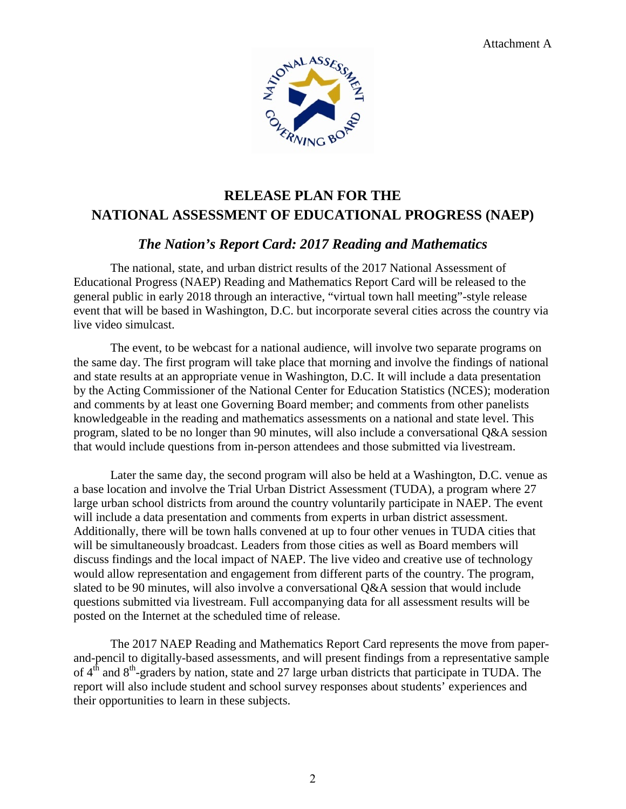

### **RELEASE PLAN FOR THE NATIONAL ASSESSMENT OF EDUCATIONAL PROGRESS (NAEP)**

#### *The Nation's Report Card: 2017 Reading and Mathematics*

The national, state, and urban district results of the 2017 National Assessment of Educational Progress (NAEP) Reading and Mathematics Report Card will be released to the general public in early 2018 through an interactive, "virtual town hall meeting"-style release event that will be based in Washington, D.C. but incorporate several cities across the country via live video simulcast.

 knowledgeable in the reading and mathematics assessments on a national and state level. This The event, to be webcast for a national audience, will involve two separate programs on the same day. The first program will take place that morning and involve the findings of national and state results at an appropriate venue in Washington, D.C. It will include a data presentation by the Acting Commissioner of the National Center for Education Statistics (NCES); moderation and comments by at least one Governing Board member; and comments from other panelists program, slated to be no longer than 90 minutes, will also include a conversational Q&A session that would include questions from in-person attendees and those submitted via livestream.

 posted on the Internet at the scheduled time of release. Later the same day, the second program will also be held at a Washington, D.C. venue as a base location and involve the Trial Urban District Assessment (TUDA), a program where 27 large urban school districts from around the country voluntarily participate in NAEP. The event will include a data presentation and comments from experts in urban district assessment. Additionally, there will be town halls convened at up to four other venues in TUDA cities that will be simultaneously broadcast. Leaders from those cities as well as Board members will discuss findings and the local impact of NAEP. The live video and creative use of technology would allow representation and engagement from different parts of the country. The program, slated to be 90 minutes, will also involve a conversational Q&A session that would include questions submitted via livestream. Full accompanying data for all assessment results will be

The 2017 NAEP Reading and Mathematics Report Card represents the move from paperand-pencil to digitally-based assessments, and will present findings from a representative sample of 4<sup>th</sup> and 8<sup>th</sup>-graders by nation, state and 27 large urban districts that participate in TUDA. The report will also include student and school survey responses about students' experiences and their opportunities to learn in these subjects.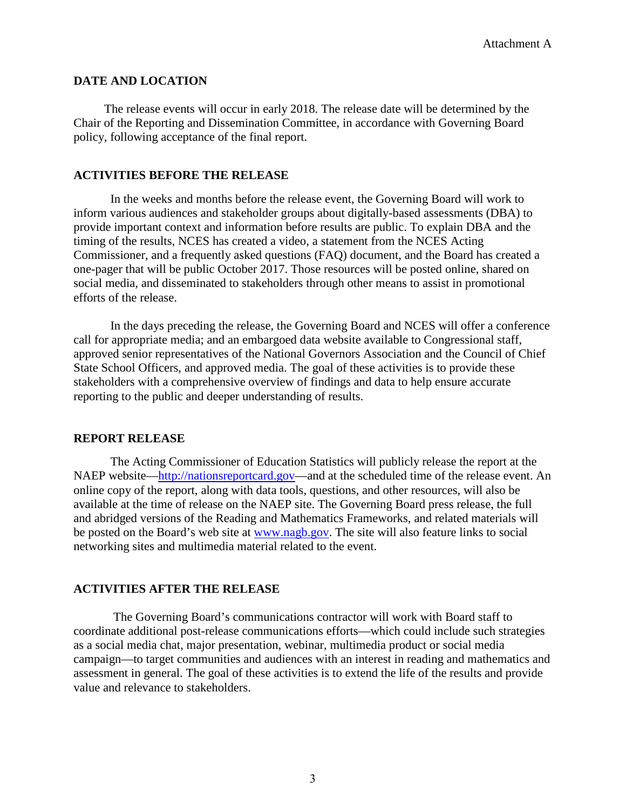#### **DATE AND LOCATION**

The release events will occur in early 2018. The release date will be determined by the Chair of the Reporting and Dissemination Committee, in accordance with Governing Board policy, following acceptance of the final report.

#### **ACTIVITIES BEFORE THE RELEASE**

 provide important context and information before results are public. To explain DBA and the In the weeks and months before the release event, the Governing Board will work to inform various audiences and stakeholder groups about digitally-based assessments (DBA) to timing of the results, NCES has created a video, a statement from the NCES Acting Commissioner, and a frequently asked questions (FAQ) document, and the Board has created a one-pager that will be public October 2017. Those resources will be posted online, shared on social media, and disseminated to stakeholders through other means to assist in promotional efforts of the release.

In the days preceding the release, the Governing Board and NCES will offer a conference call for appropriate media; and an embargoed data website available to Congressional staff, approved senior representatives of the National Governors Association and the Council of Chief State School Officers, and approved media. The goal of these activities is to provide these stakeholders with a comprehensive overview of findings and data to help ensure accurate reporting to the public and deeper understanding of results.

#### **REPORT RELEASE**

 and abridged versions of the Reading and Mathematics Frameworks, and related materials will be posted on the Board's web site at [www.nagb.gov.](http://www.nagb.gov/) The site will also feature links to social The Acting Commissioner of Education Statistics will publicly release the report at the NAEP website[—http://nationsreportcard.gov—](http://nationsreportcard.gov/)and at the scheduled time of the release event. An online copy of the report, along with data tools, questions, and other resources, will also be available at the time of release on the NAEP site. The Governing Board press release, the full networking sites and multimedia material related to the event.

#### **ACTIVITIES AFTER THE RELEASE**

 The Governing Board's communications contractor will work with Board staff to coordinate additional post-release communications efforts—which could include such strategies as a social media chat, major presentation, webinar, multimedia product or social media campaign—to target communities and audiences with an interest in reading and mathematics and assessment in general. The goal of these activities is to extend the life of the results and provide value and relevance to stakeholders.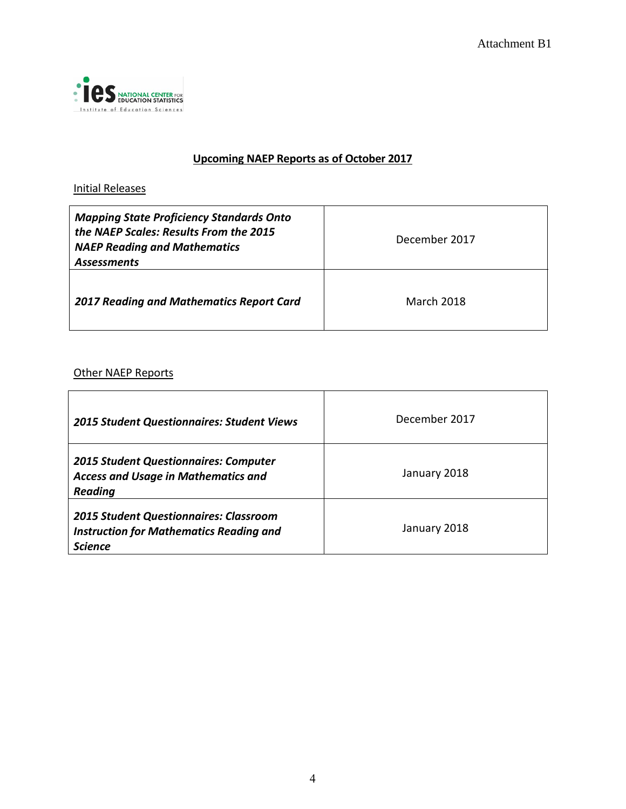

#### **Upcoming NAEP Reports as of October 2017**

#### Initial Releases

| <b>Mapping State Proficiency Standards Onto</b><br>the NAEP Scales: Results From the 2015<br><b>NAEP Reading and Mathematics</b><br><b>Assessments</b> | December 2017     |
|--------------------------------------------------------------------------------------------------------------------------------------------------------|-------------------|
| <b>2017 Reading and Mathematics Report Card</b>                                                                                                        | <b>March 2018</b> |

#### **Other NAEP Reports**

| <b>2015 Student Questionnaires: Student Views</b>                                                                 | December 2017 |
|-------------------------------------------------------------------------------------------------------------------|---------------|
| <b>2015 Student Questionnaires: Computer</b><br><b>Access and Usage in Mathematics and</b><br><b>Reading</b>      | January 2018  |
| <b>2015 Student Questionnaires: Classroom</b><br><b>Instruction for Mathematics Reading and</b><br><b>Science</b> | January 2018  |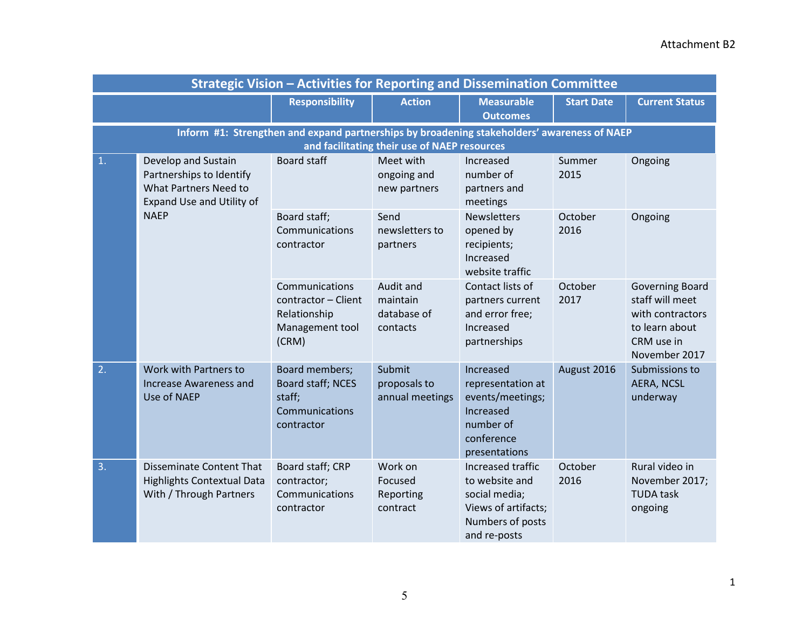| <b>Strategic Vision - Activities for Reporting and Dissemination Committee</b>                                             |                                                                                                 |                                                                                             |                                                                                |                                                                                                                 |                   |                                                                                                                |
|----------------------------------------------------------------------------------------------------------------------------|-------------------------------------------------------------------------------------------------|---------------------------------------------------------------------------------------------|--------------------------------------------------------------------------------|-----------------------------------------------------------------------------------------------------------------|-------------------|----------------------------------------------------------------------------------------------------------------|
|                                                                                                                            |                                                                                                 | <b>Responsibility</b>                                                                       | <b>Action</b>                                                                  | <b>Measurable</b><br><b>Outcomes</b>                                                                            | <b>Start Date</b> | <b>Current Status</b>                                                                                          |
|                                                                                                                            |                                                                                                 | Inform #1: Strengthen and expand partnerships by broadening stakeholders' awareness of NAEP | and facilitating their use of NAEP resources                                   |                                                                                                                 |                   |                                                                                                                |
| 1.<br>Develop and Sustain<br>Partnerships to Identify<br>What Partners Need to<br>Expand Use and Utility of<br><b>NAEP</b> |                                                                                                 | <b>Board staff</b>                                                                          | Meet with<br>ongoing and<br>new partners                                       | Increased<br>number of<br>partners and<br>meetings                                                              | Summer<br>2015    | Ongoing                                                                                                        |
|                                                                                                                            | Board staff;<br>Communications<br>contractor                                                    | Send<br>newsletters to<br>partners                                                          | <b>Newsletters</b><br>opened by<br>recipients;<br>Increased<br>website traffic | October<br>2016                                                                                                 | Ongoing           |                                                                                                                |
|                                                                                                                            |                                                                                                 | Communications<br>contractor - Client<br>Relationship<br>Management tool<br>(CRM)           | Audit and<br>maintain<br>database of<br>contacts                               | Contact lists of<br>partners current<br>and error free;<br>Increased<br>partnerships                            | October<br>2017   | <b>Governing Board</b><br>staff will meet<br>with contractors<br>to learn about<br>CRM use in<br>November 2017 |
| 2.                                                                                                                         | Work with Partners to<br>Increase Awareness and<br>Use of NAEP                                  | Board members;<br>Board staff; NCES<br>staff;<br>Communications<br>contractor               | Submit<br>proposals to<br>annual meetings                                      | Increased<br>representation at<br>events/meetings;<br>Increased<br>number of<br>conference<br>presentations     | August 2016       | Submissions to<br><b>AERA, NCSL</b><br>underway                                                                |
| 3.                                                                                                                         | <b>Disseminate Content That</b><br><b>Highlights Contextual Data</b><br>With / Through Partners | Board staff; CRP<br>contractor;<br>Communications<br>contractor                             | Work on<br>Focused<br>Reporting<br>contract                                    | Increased traffic<br>to website and<br>social media;<br>Views of artifacts;<br>Numbers of posts<br>and re-posts | October<br>2016   | Rural video in<br>November 2017;<br><b>TUDA task</b><br>ongoing                                                |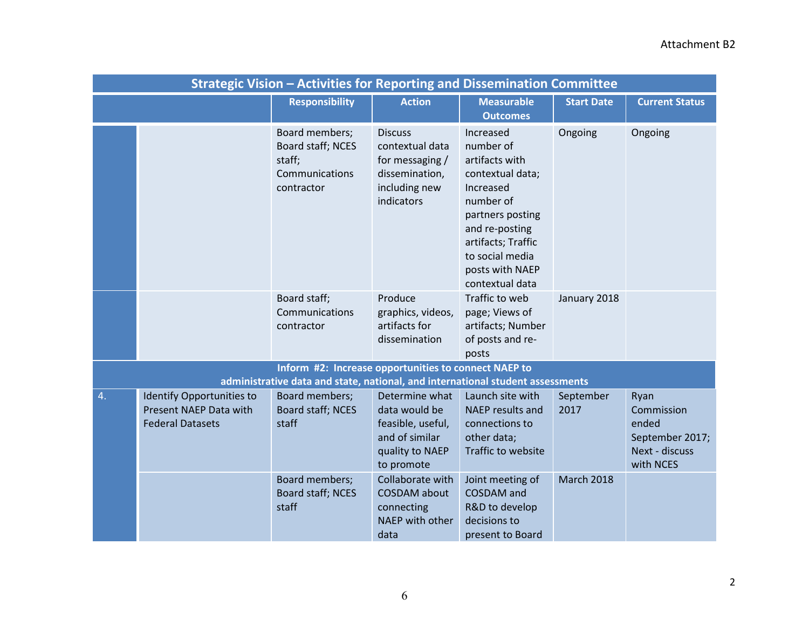| <b>Strategic Vision - Activities for Reporting and Dissemination Committee</b> |                                                                                |                                                                                |                                                                                                         |                                                                                                                                                                                                             |                   |                                                                               |
|--------------------------------------------------------------------------------|--------------------------------------------------------------------------------|--------------------------------------------------------------------------------|---------------------------------------------------------------------------------------------------------|-------------------------------------------------------------------------------------------------------------------------------------------------------------------------------------------------------------|-------------------|-------------------------------------------------------------------------------|
|                                                                                |                                                                                | <b>Responsibility</b>                                                          | <b>Action</b>                                                                                           | <b>Measurable</b><br><b>Outcomes</b>                                                                                                                                                                        | <b>Start Date</b> | <b>Current Status</b>                                                         |
|                                                                                |                                                                                | Board members;<br>Board staff; NCES<br>staff;<br>Communications<br>contractor  | <b>Discuss</b><br>contextual data<br>for messaging /<br>dissemination,<br>including new<br>indicators   | Increased<br>number of<br>artifacts with<br>contextual data;<br>Increased<br>number of<br>partners posting<br>and re-posting<br>artifacts; Traffic<br>to social media<br>posts with NAEP<br>contextual data | Ongoing           | Ongoing                                                                       |
|                                                                                |                                                                                | Board staff;<br>Communications<br>contractor                                   | Produce<br>graphics, videos,<br>artifacts for<br>dissemination                                          | Traffic to web<br>page; Views of<br>artifacts; Number<br>of posts and re-<br>posts                                                                                                                          | January 2018      |                                                                               |
|                                                                                |                                                                                | Inform #2: Increase opportunities to connect NAEP to                           |                                                                                                         |                                                                                                                                                                                                             |                   |                                                                               |
|                                                                                |                                                                                | administrative data and state, national, and international student assessments |                                                                                                         |                                                                                                                                                                                                             |                   |                                                                               |
| 4.                                                                             | Identify Opportunities to<br>Present NAEP Data with<br><b>Federal Datasets</b> | Board members;<br>Board staff; NCES<br>staff                                   | Determine what<br>data would be<br>feasible, useful,<br>and of similar<br>quality to NAEP<br>to promote | Launch site with<br><b>NAEP</b> results and<br>connections to<br>other data;<br>Traffic to website                                                                                                          | September<br>2017 | Ryan<br>Commission<br>ended<br>September 2017;<br>Next - discuss<br>with NCES |
|                                                                                |                                                                                | Board members;<br>Board staff; NCES<br>staff                                   | Collaborate with<br><b>COSDAM</b> about<br>connecting<br>NAEP with other<br>data                        | Joint meeting of<br><b>COSDAM</b> and<br>R&D to develop<br>decisions to<br>present to Board                                                                                                                 | <b>March 2018</b> |                                                                               |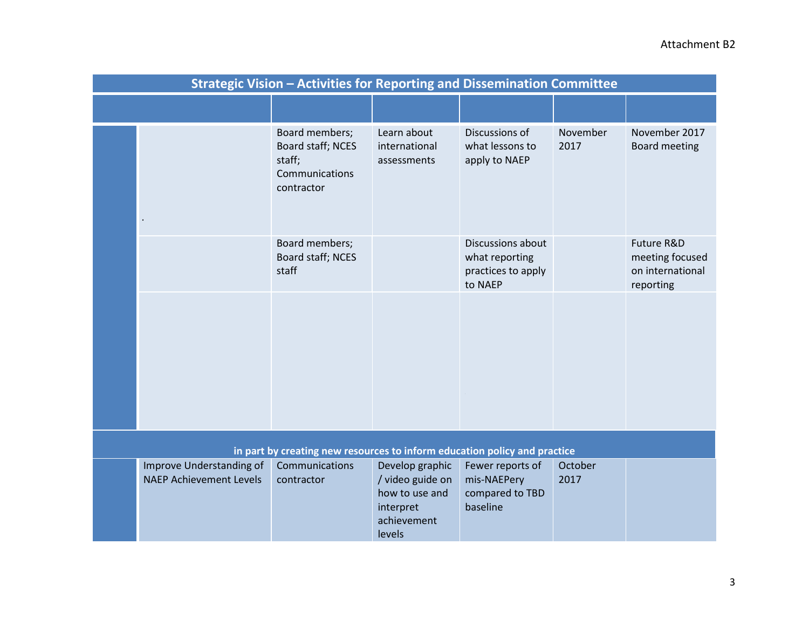#### Attachment B2

|                                                                           |                                                            | <b>Strategic Vision - Activities for Reporting and Dissemination Committee</b> |                                                                                             |                                                                      |                  |                                                                |
|---------------------------------------------------------------------------|------------------------------------------------------------|--------------------------------------------------------------------------------|---------------------------------------------------------------------------------------------|----------------------------------------------------------------------|------------------|----------------------------------------------------------------|
|                                                                           |                                                            |                                                                                |                                                                                             |                                                                      |                  |                                                                |
|                                                                           |                                                            | Board members;<br>Board staff; NCES<br>staff;<br>Communications<br>contractor  | Learn about<br>international<br>assessments                                                 | Discussions of<br>what lessons to<br>apply to NAEP                   | November<br>2017 | November 2017<br><b>Board meeting</b>                          |
|                                                                           |                                                            | Board members;<br>Board staff; NCES<br>staff                                   |                                                                                             | Discussions about<br>what reporting<br>practices to apply<br>to NAEP |                  | Future R&D<br>meeting focused<br>on international<br>reporting |
|                                                                           |                                                            |                                                                                |                                                                                             |                                                                      |                  |                                                                |
| in part by creating new resources to inform education policy and practice |                                                            |                                                                                |                                                                                             |                                                                      |                  |                                                                |
|                                                                           | Improve Understanding of<br><b>NAEP Achievement Levels</b> | Communications<br>contractor                                                   | Develop graphic<br>/ video guide on<br>how to use and<br>interpret<br>achievement<br>levels | Fewer reports of<br>mis-NAEPery<br>compared to TBD<br>baseline       | October<br>2017  |                                                                |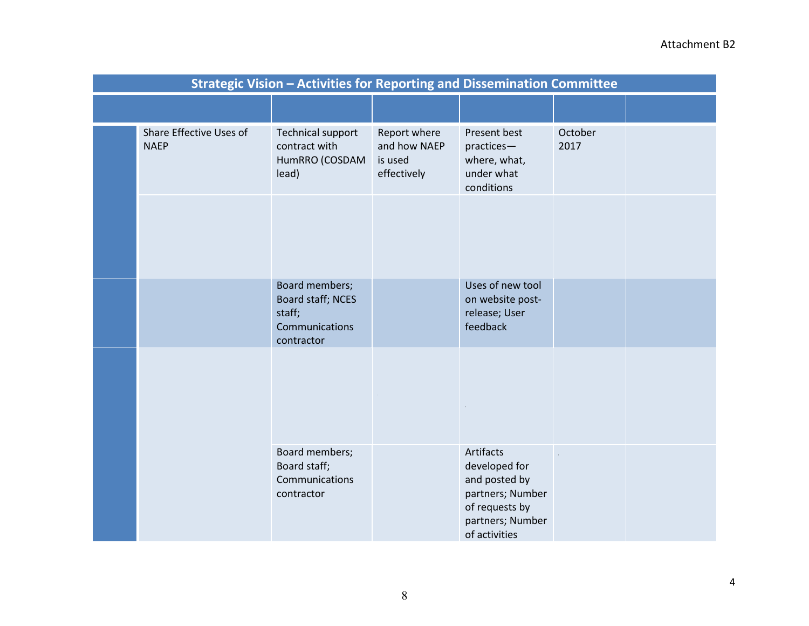#### Attachment B2

| <b>Strategic Vision - Activities for Reporting and Dissemination Committee</b> |                                                                               |                                                        |                                                                                                                        |                 |  |
|--------------------------------------------------------------------------------|-------------------------------------------------------------------------------|--------------------------------------------------------|------------------------------------------------------------------------------------------------------------------------|-----------------|--|
|                                                                                |                                                                               |                                                        |                                                                                                                        |                 |  |
| Share Effective Uses of<br><b>NAEP</b>                                         | <b>Technical support</b><br>contract with<br>HumRRO (COSDAM<br>lead)          | Report where<br>and how NAEP<br>is used<br>effectively | Present best<br>practices-<br>where, what,<br>under what<br>conditions                                                 | October<br>2017 |  |
|                                                                                |                                                                               |                                                        |                                                                                                                        |                 |  |
|                                                                                | Board members;<br>Board staff; NCES<br>staff;<br>Communications<br>contractor |                                                        | Uses of new tool<br>on website post-<br>release; User<br>feedback                                                      |                 |  |
|                                                                                |                                                                               |                                                        |                                                                                                                        |                 |  |
|                                                                                | Board members;<br>Board staff;<br>Communications<br>contractor                |                                                        | Artifacts<br>developed for<br>and posted by<br>partners; Number<br>of requests by<br>partners; Number<br>of activities |                 |  |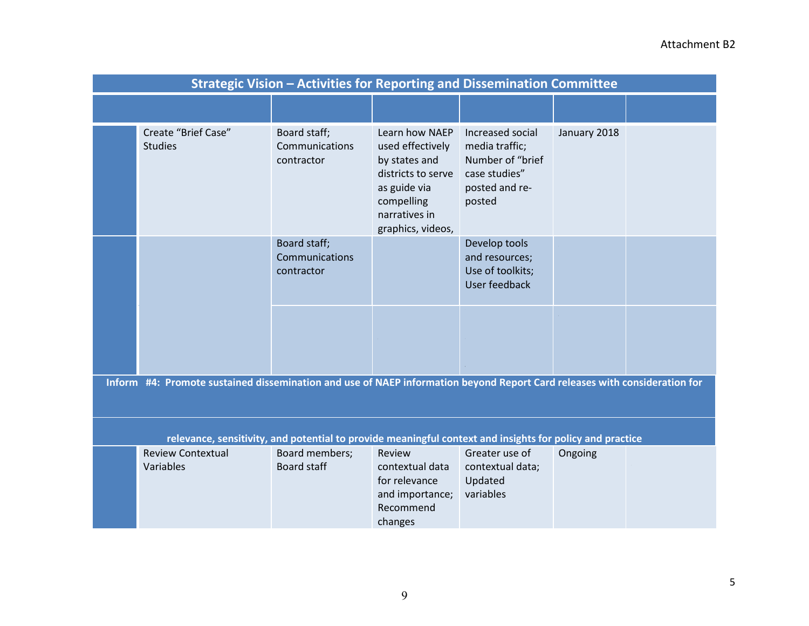| <b>Strategic Vision - Activities for Reporting and Dissemination Committee</b> |                                                                                                                           |                                              |                                                                                                                                               |                                                                                                     |              |  |
|--------------------------------------------------------------------------------|---------------------------------------------------------------------------------------------------------------------------|----------------------------------------------|-----------------------------------------------------------------------------------------------------------------------------------------------|-----------------------------------------------------------------------------------------------------|--------------|--|
|                                                                                |                                                                                                                           |                                              |                                                                                                                                               |                                                                                                     |              |  |
|                                                                                | Create "Brief Case"<br><b>Studies</b>                                                                                     | Board staff;<br>Communications<br>contractor | Learn how NAEP<br>used effectively<br>by states and<br>districts to serve<br>as guide via<br>compelling<br>narratives in<br>graphics, videos, | Increased social<br>media traffic;<br>Number of "brief<br>case studies"<br>posted and re-<br>posted | January 2018 |  |
|                                                                                |                                                                                                                           | Board staff;<br>Communications<br>contractor |                                                                                                                                               | Develop tools<br>and resources;<br>Use of toolkits;<br>User feedback                                |              |  |
|                                                                                |                                                                                                                           |                                              |                                                                                                                                               |                                                                                                     |              |  |
|                                                                                | Inform #4: Promote sustained dissemination and use of NAEP information beyond Report Card releases with consideration for |                                              |                                                                                                                                               |                                                                                                     |              |  |
|                                                                                | relevance, sensitivity, and potential to provide meaningful context and insights for policy and practice                  |                                              |                                                                                                                                               |                                                                                                     |              |  |
|                                                                                | <b>Review Contextual</b><br>Variables                                                                                     | Board members;<br><b>Board staff</b>         | Review<br>contextual data<br>for relevance<br>and importance;<br>Recommend<br>changes                                                         | Greater use of<br>contextual data;<br>Updated<br>variables                                          | Ongoing      |  |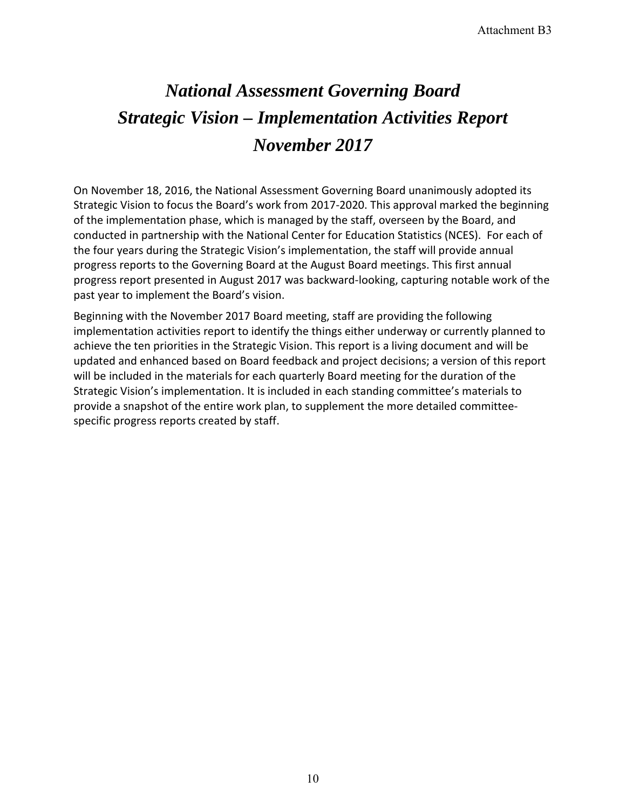# *November 2017 National Assessment Governing Board Strategic Vision – Implementation Activities Report*

 Strategic Vision to focus the Board's work from 2017-2020. This approval marked the beginning the four years during the Strategic Vision's implementation, the staff will provide annual progress reports to the Governing Board at the August Board meetings. This first annual On November 18, 2016, the National Assessment Governing Board unanimously adopted its of the implementation phase, which is managed by the staff, overseen by the Board, and conducted in partnership with the National Center for Education Statistics (NCES). For each of progress report presented in August 2017 was backward-looking, capturing notable work of the past year to implement the Board's vision.

 Beginning with the November 2017 Board meeting, staff are providing the following implementation activities report to identify the things either underway or currently planned to achieve the ten priorities in the Strategic Vision. This report is a living document and will be updated and enhanced based on Board feedback and project decisions; a version of this report will be included in the materials for each quarterly Board meeting for the duration of the Strategic Vision's implementation. It is included in each standing committee's materials to provide a snapshot of the entire work plan, to supplement the more detailed committeespecific progress reports created by staff.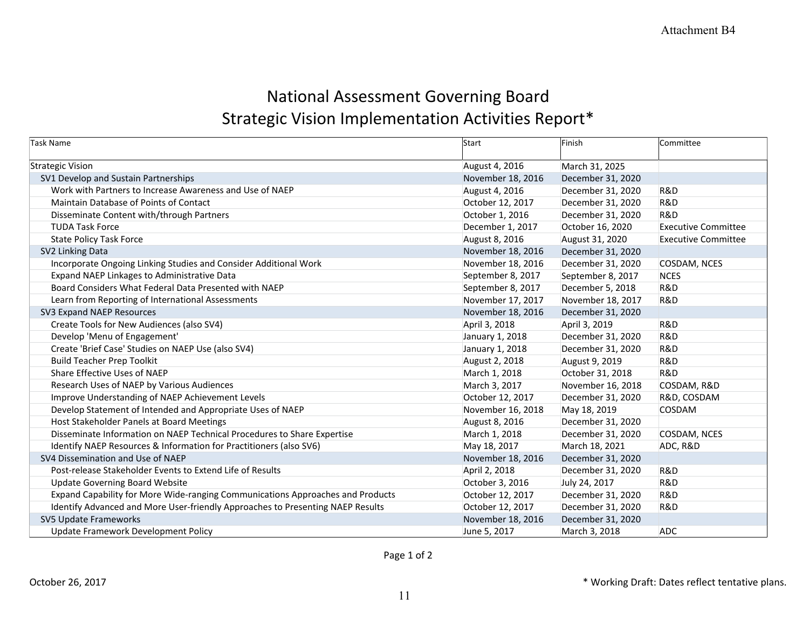## National Assessment Governing Board Strategic Vision Implementation Activities Report\*

| Task Name                                                                      | Start             | Finish            | Committee                  |
|--------------------------------------------------------------------------------|-------------------|-------------------|----------------------------|
| <b>Strategic Vision</b>                                                        | August 4, 2016    | March 31, 2025    |                            |
| SV1 Develop and Sustain Partnerships                                           | November 18, 2016 | December 31, 2020 |                            |
| Work with Partners to Increase Awareness and Use of NAEP                       | August 4, 2016    | December 31, 2020 | <b>R&amp;D</b>             |
| Maintain Database of Points of Contact                                         | October 12, 2017  | December 31, 2020 | <b>R&amp;D</b>             |
| Disseminate Content with/through Partners                                      | October 1, 2016   | December 31, 2020 | R&D                        |
| <b>TUDA Task Force</b>                                                         | December 1, 2017  | October 16, 2020  | <b>Executive Committee</b> |
| <b>State Policy Task Force</b>                                                 | August 8, 2016    | August 31, 2020   | <b>Executive Committee</b> |
| SV2 Linking Data                                                               | November 18, 2016 | December 31, 2020 |                            |
| Incorporate Ongoing Linking Studies and Consider Additional Work               | November 18, 2016 | December 31, 2020 | COSDAM, NCES               |
| Expand NAEP Linkages to Administrative Data                                    | September 8, 2017 | September 8, 2017 | <b>NCES</b>                |
| Board Considers What Federal Data Presented with NAEP                          | September 8, 2017 | December 5, 2018  | R&D                        |
| Learn from Reporting of International Assessments                              | November 17, 2017 | November 18, 2017 | <b>R&amp;D</b>             |
| SV3 Expand NAEP Resources                                                      | November 18, 2016 | December 31, 2020 |                            |
| Create Tools for New Audiences (also SV4)                                      | April 3, 2018     | April 3, 2019     | R&D                        |
| Develop 'Menu of Engagement'                                                   | January 1, 2018   | December 31, 2020 | R&D                        |
| Create 'Brief Case' Studies on NAEP Use (also SV4)                             | January 1, 2018   | December 31, 2020 | <b>R&amp;D</b>             |
| <b>Build Teacher Prep Toolkit</b>                                              | August 2, 2018    | August 9, 2019    | R&D                        |
| Share Effective Uses of NAEP                                                   | March 1, 2018     | October 31, 2018  | R&D                        |
| Research Uses of NAEP by Various Audiences                                     | March 3, 2017     | November 16, 2018 | COSDAM, R&D                |
| Improve Understanding of NAEP Achievement Levels                               | October 12, 2017  | December 31, 2020 | R&D, COSDAM                |
| Develop Statement of Intended and Appropriate Uses of NAEP                     | November 16, 2018 | May 18, 2019      | COSDAM                     |
| Host Stakeholder Panels at Board Meetings                                      | August 8, 2016    | December 31, 2020 |                            |
| Disseminate Information on NAEP Technical Procedures to Share Expertise        | March 1, 2018     | December 31, 2020 | COSDAM, NCES               |
| Identify NAEP Resources & Information for Practitioners (also SV6)             | May 18, 2017      | March 18, 2021    | ADC, R&D                   |
| SV4 Dissemination and Use of NAEP                                              | November 18, 2016 | December 31, 2020 |                            |
| Post-release Stakeholder Events to Extend Life of Results                      | April 2, 2018     | December 31, 2020 | R&D                        |
| <b>Update Governing Board Website</b>                                          | October 3, 2016   | July 24, 2017     | R&D                        |
| Expand Capability for More Wide-ranging Communications Approaches and Products | October 12, 2017  | December 31, 2020 | R&D                        |
| Identify Advanced and More User-friendly Approaches to Presenting NAEP Results | October 12, 2017  | December 31, 2020 | R&D                        |
| SV5 Update Frameworks                                                          | November 18, 2016 | December 31, 2020 |                            |
| Update Framework Development Policy                                            | June 5, 2017      | March 3, 2018     | <b>ADC</b>                 |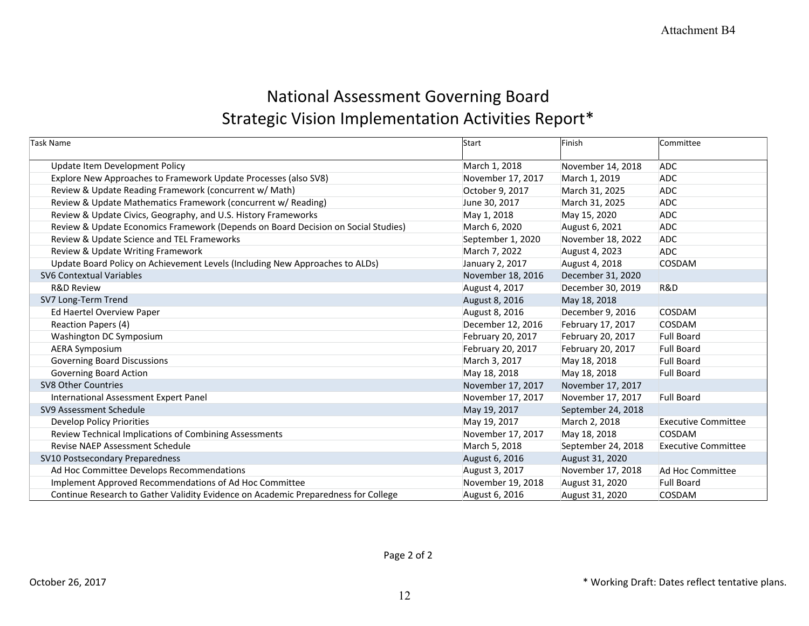## National Assessment Governing Board Strategic Vision Implementation Activities Report\*

| Task Name                                                                          | Start             | Finish             | Committee                  |
|------------------------------------------------------------------------------------|-------------------|--------------------|----------------------------|
| Update Item Development Policy                                                     | March 1, 2018     | November 14, 2018  | <b>ADC</b>                 |
| Explore New Approaches to Framework Update Processes (also SV8)                    | November 17, 2017 | March 1, 2019      | <b>ADC</b>                 |
| Review & Update Reading Framework (concurrent w/ Math)                             | October 9, 2017   | March 31, 2025     | <b>ADC</b>                 |
| Review & Update Mathematics Framework (concurrent w/ Reading)                      | June 30, 2017     | March 31, 2025     | <b>ADC</b>                 |
| Review & Update Civics, Geography, and U.S. History Frameworks                     | May 1, 2018       | May 15, 2020       | <b>ADC</b>                 |
| Review & Update Economics Framework (Depends on Board Decision on Social Studies)  | March 6, 2020     | August 6, 2021     | <b>ADC</b>                 |
| Review & Update Science and TEL Frameworks                                         | September 1, 2020 | November 18, 2022  | <b>ADC</b>                 |
| Review & Update Writing Framework                                                  | March 7, 2022     | August 4, 2023     | <b>ADC</b>                 |
| Update Board Policy on Achievement Levels (Including New Approaches to ALDs)       | January 2, 2017   | August 4, 2018     | COSDAM                     |
| <b>SV6 Contextual Variables</b>                                                    | November 18, 2016 | December 31, 2020  |                            |
| <b>R&amp;D Review</b>                                                              | August 4, 2017    | December 30, 2019  | R&D                        |
| SV7 Long-Term Trend                                                                | August 8, 2016    | May 18, 2018       |                            |
| Ed Haertel Overview Paper                                                          | August 8, 2016    | December 9, 2016   | COSDAM                     |
| Reaction Papers (4)                                                                | December 12, 2016 | February 17, 2017  | COSDAM                     |
| Washington DC Symposium                                                            | February 20, 2017 | February 20, 2017  | <b>Full Board</b>          |
| <b>AERA Symposium</b>                                                              | February 20, 2017 | February 20, 2017  | <b>Full Board</b>          |
| <b>Governing Board Discussions</b>                                                 | March 3, 2017     | May 18, 2018       | <b>Full Board</b>          |
| <b>Governing Board Action</b>                                                      | May 18, 2018      | May 18, 2018       | <b>Full Board</b>          |
| <b>SV8 Other Countries</b>                                                         | November 17, 2017 | November 17, 2017  |                            |
| International Assessment Expert Panel                                              | November 17, 2017 | November 17, 2017  | <b>Full Board</b>          |
| SV9 Assessment Schedule                                                            | May 19, 2017      | September 24, 2018 |                            |
| Develop Policy Priorities                                                          | May 19, 2017      | March 2, 2018      | <b>Executive Committee</b> |
| Review Technical Implications of Combining Assessments                             | November 17, 2017 | May 18, 2018       | COSDAM                     |
| <b>Revise NAEP Assessment Schedule</b>                                             | March 5, 2018     | September 24, 2018 | <b>Executive Committee</b> |
| SV10 Postsecondary Preparedness                                                    | August 6, 2016    | August 31, 2020    |                            |
| Ad Hoc Committee Develops Recommendations                                          | August 3, 2017    | November 17, 2018  | Ad Hoc Committee           |
| Implement Approved Recommendations of Ad Hoc Committee                             | November 19, 2018 | August 31, 2020    | <b>Full Board</b>          |
| Continue Research to Gather Validity Evidence on Academic Preparedness for College | August 6, 2016    | August 31, 2020    | COSDAM                     |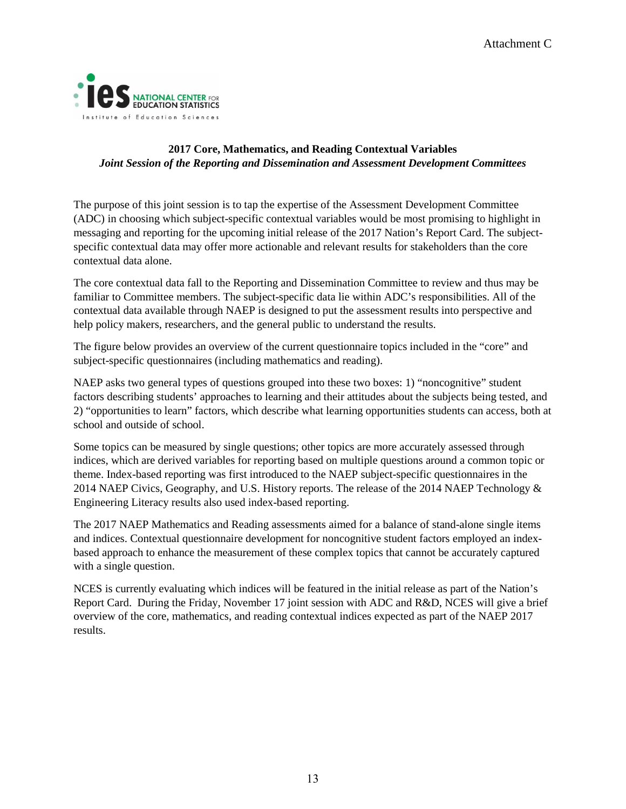

#### **2017 Core, Mathematics, and Reading Contextual Variables**  *Joint Session of the Reporting and Dissemination and Assessment Development Committees*

 The purpose of this joint session is to tap the expertise of the Assessment Development Committee (ADC) in choosing which subject-specific contextual variables would be most promising to highlight in messaging and reporting for the upcoming initial release of the 2017 Nation's Report Card. The subjectspecific contextual data may offer more actionable and relevant results for stakeholders than the core contextual data alone.

 familiar to Committee members. The subject-specific data lie within ADC's responsibilities. All of the help policy makers, researchers, and the general public to understand the results. The core contextual data fall to the Reporting and Dissemination Committee to review and thus may be contextual data available through NAEP is designed to put the assessment results into perspective and

 The figure below provides an overview of the current questionnaire topics included in the "core" and subject-specific questionnaires (including mathematics and reading).

 school and outside of school. NAEP asks two general types of questions grouped into these two boxes: 1) "noncognitive" student factors describing students' approaches to learning and their attitudes about the subjects being tested, and 2) "opportunities to learn" factors, which describe what learning opportunities students can access, both at

 indices, which are derived variables for reporting based on multiple questions around a common topic or theme. Index-based reporting was first introduced to the NAEP subject-specific questionnaires in the Some topics can be measured by single questions; other topics are more accurately assessed through 2014 NAEP Civics, Geography, and U.S. History reports. The release of the 2014 NAEP Technology & Engineering Literacy results also used index-based reporting.

 and indices. Contextual questionnaire development for noncognitive student factors employed an index- based approach to enhance the measurement of these complex topics that cannot be accurately captured The 2017 NAEP Mathematics and Reading assessments aimed for a balance of stand-alone single items with a single question.

 NCES is currently evaluating which indices will be featured in the initial release as part of the Nation's Report Card. During the Friday, November 17 joint session with ADC and R&D, NCES will give a brief overview of the core, mathematics, and reading contextual indices expected as part of the NAEP 2017 results.